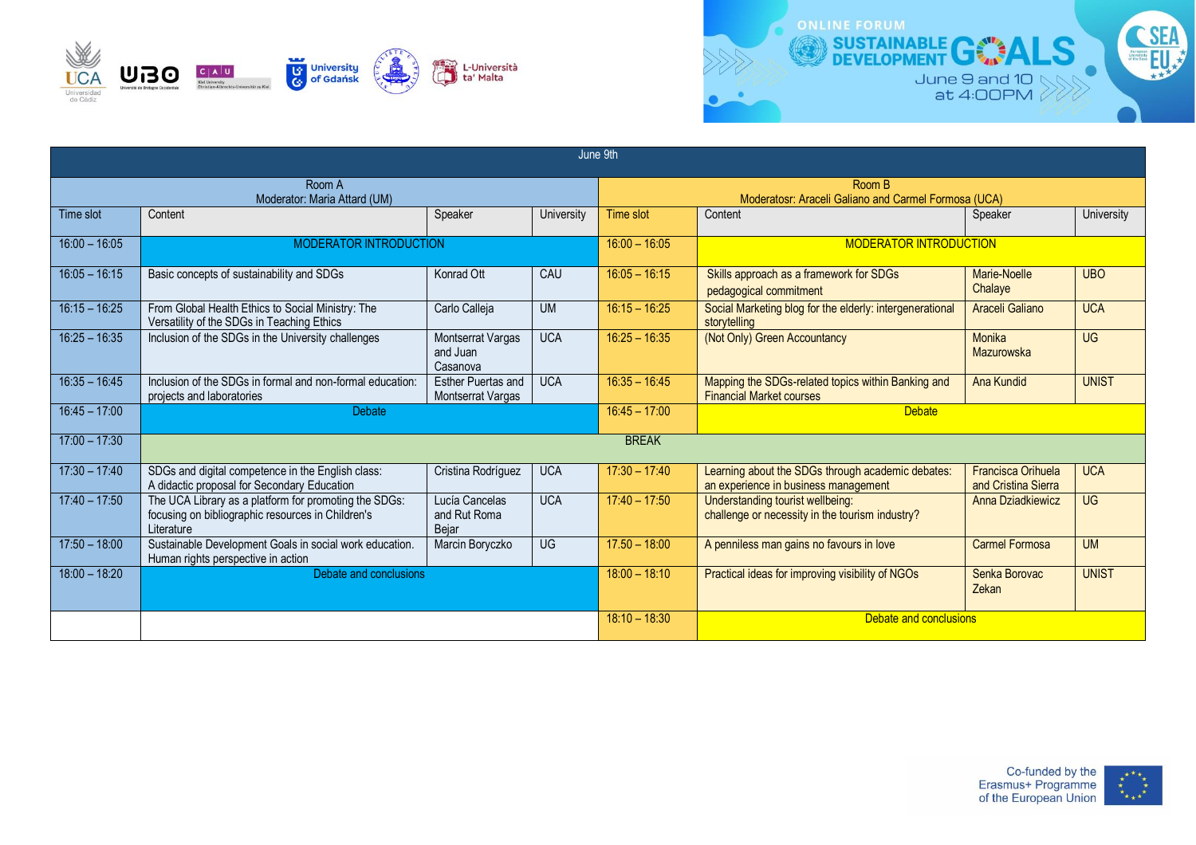



| June 9th                               |                                                                                                                          |                                                  |                                                  |                        |                                                                                           |                                                  |                                   |  |  |  |  |  |
|----------------------------------------|--------------------------------------------------------------------------------------------------------------------------|--------------------------------------------------|--------------------------------------------------|------------------------|-------------------------------------------------------------------------------------------|--------------------------------------------------|-----------------------------------|--|--|--|--|--|
| Room A<br>Moderator: Maria Attard (UM) |                                                                                                                          |                                                  |                                                  |                        | Room B<br>Moderatosr: Araceli Galiano and Carmel Formosa (UCA)                            |                                                  |                                   |  |  |  |  |  |
| Time slot                              | Content                                                                                                                  | Speaker                                          | University                                       | <b>Time slot</b>       | Content                                                                                   | Speaker                                          | University                        |  |  |  |  |  |
| $16:00 - 16:05$                        | <b>MODERATOR INTRODUCTION</b>                                                                                            | $16:00 - 16:05$                                  | <b>MODERATOR INTRODUCTION</b>                    |                        |                                                                                           |                                                  |                                   |  |  |  |  |  |
| $16:05 - 16:15$                        | Basic concepts of sustainability and SDGs                                                                                | Konrad Ott                                       | CAU                                              | $16:05 - 16:15$        | Skills approach as a framework for SDGs<br>pedagogical commitment                         | Marie-Noelle<br>Chalaye                          | <b>UBO</b>                        |  |  |  |  |  |
| $16:15 - 16:25$                        | From Global Health Ethics to Social Ministry: The<br>Versatility of the SDGs in Teaching Ethics                          | Carlo Calleja                                    | <b>UM</b>                                        | $16:15 - 16:25$        | Social Marketing blog for the elderly: intergenerational<br>storytelling                  | Araceli Galiano                                  | <b>UCA</b>                        |  |  |  |  |  |
| $16:25 - 16:35$                        | Inclusion of the SDGs in the University challenges                                                                       | <b>Montserrat Vargas</b><br>and Juan<br>Casanova | <b>UCA</b>                                       | $16:25 - 16:35$        | (Not Only) Green Accountancy                                                              | Monika<br>Mazurowska                             | $\overline{\mathsf{U}\mathsf{G}}$ |  |  |  |  |  |
| $16:35 - 16:45$                        | Inclusion of the SDGs in formal and non-formal education:<br>projects and laboratories                                   | <b>Esther Puertas and</b><br>Montserrat Vargas   | <b>UCA</b>                                       | $16:35 - 16:45$        | Mapping the SDGs-related topics within Banking and<br><b>Financial Market courses</b>     | Ana Kundid                                       | <b>UNIST</b>                      |  |  |  |  |  |
| $16:45 - 17:00$                        | <b>Debate</b>                                                                                                            |                                                  | $16:45 - 17:00$                                  | <b>Debate</b>          |                                                                                           |                                                  |                                   |  |  |  |  |  |
| $17:00 - 17:30$                        | <b>BREAK</b>                                                                                                             |                                                  |                                                  |                        |                                                                                           |                                                  |                                   |  |  |  |  |  |
| $17:30 - 17:40$                        | SDGs and digital competence in the English class:<br>A didactic proposal for Secondary Education                         | Cristina Rodríguez                               | <b>UCA</b>                                       | $17:30 - 17:40$        | Learning about the SDGs through academic debates:<br>an experience in business management | <b>Francisca Orihuela</b><br>and Cristina Sierra | <b>UCA</b>                        |  |  |  |  |  |
| $17:40 - 17:50$                        | The UCA Library as a platform for promoting the SDGs:<br>focusing on bibliographic resources in Children's<br>Literature | Lucía Cancelas<br>and Rut Roma<br>Bejar          | <b>UCA</b>                                       | $17:40 - 17:50$        | Understanding tourist wellbeing:<br>challenge or necessity in the tourism industry?       | Anna Dziadkiewicz                                | <b>UG</b>                         |  |  |  |  |  |
| $17:50 - 18:00$                        | Sustainable Development Goals in social work education.<br>Human rights perspective in action                            | Marcin Boryczko                                  | <b>UG</b>                                        | $17.50 - 18:00$        | A penniless man gains no favours in love                                                  | Carmel Formosa                                   | <b>UM</b>                         |  |  |  |  |  |
| $18:00 - 18:20$                        | Debate and conclusions                                                                                                   | $18:00 - 18:10$                                  | Practical ideas for improving visibility of NGOs | Senka Borovac<br>Zekan | <b>UNIST</b>                                                                              |                                                  |                                   |  |  |  |  |  |
|                                        |                                                                                                                          | $18:10 - 18:30$                                  | Debate and conclusions                           |                        |                                                                                           |                                                  |                                   |  |  |  |  |  |